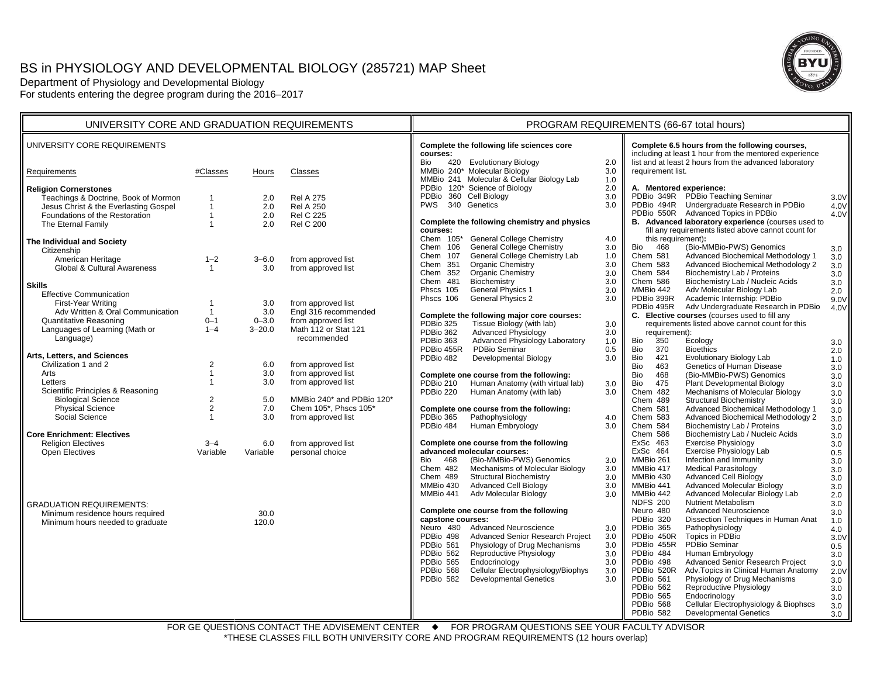# BS in PHYSIOLOGY AND DEVELOPMENTAL BIOLOGY (285721) MAP Sheet

Department of Physiology and Developmental Biology For students entering the degree program during the 2016–2017



FOR GE QUESTIONS CONTACT THE ADVISEMENT CENTER ♦ FOR PROGRAM QUESTIONS SEE YOUR FACULTY ADVISOR \*THESE CLASSES FILL BOTH UNIVERSITY CORE AND PROGRAM REQUIREMENTS (12 hours overlap)